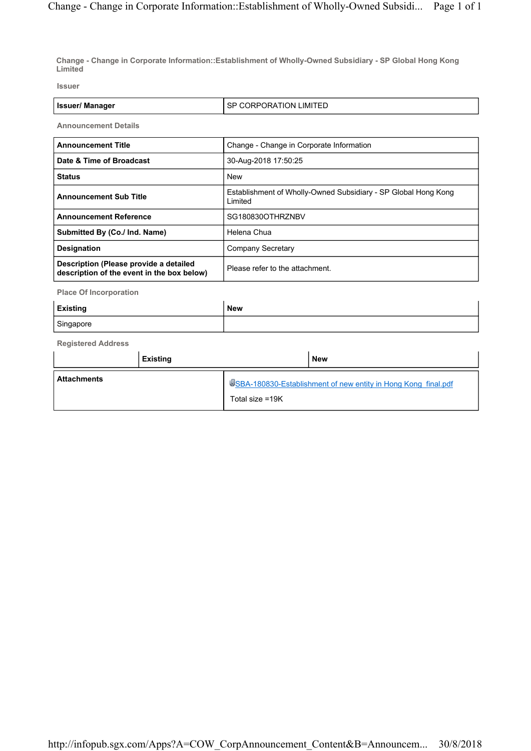**Change - Change in Corporate Information::Establishment of Wholly-Owned Subsidiary - SP Global Hong Kong Limited**

**Issuer**

| LIMITED<br><b>Issuer/Manager</b><br>ੋPORATION Lik<br>JRP(<br>אה |  |  |  |
|-----------------------------------------------------------------|--|--|--|
|-----------------------------------------------------------------|--|--|--|

**Announcement Details**

| <b>Announcement Title</b>                                                            | Change - Change in Corporate Information                                  |  |  |
|--------------------------------------------------------------------------------------|---------------------------------------------------------------------------|--|--|
| Date & Time of Broadcast                                                             | 30-Aug-2018 17:50:25                                                      |  |  |
| <b>Status</b>                                                                        | <b>New</b>                                                                |  |  |
| <b>Announcement Sub Title</b>                                                        | Establishment of Wholly-Owned Subsidiary - SP Global Hong Kong<br>Limited |  |  |
| <b>Announcement Reference</b>                                                        | SG180830OTHRZNBV                                                          |  |  |
| Submitted By (Co./ Ind. Name)                                                        | Helena Chua                                                               |  |  |
| <b>Designation</b>                                                                   | Company Secretary                                                         |  |  |
| Description (Please provide a detailed<br>description of the event in the box below) | Please refer to the attachment.                                           |  |  |

**Place Of Incorporation**

| <b>Existing</b> | New |
|-----------------|-----|
| Singapore       |     |

**Registered Address**

|                    | <b>Existing</b> |                 | <b>New</b>                                                     |
|--------------------|-----------------|-----------------|----------------------------------------------------------------|
| <b>Attachments</b> |                 | Total size =19K | USBA-180830-Establishment of new entity in Hong Kong final.pdf |